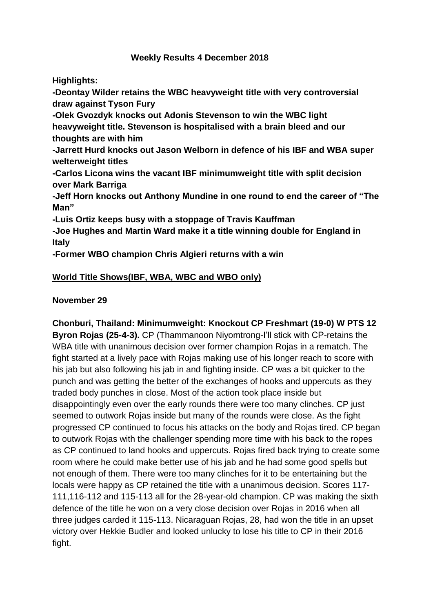# **Weekly Results 4 December 2018**

**Highlights:** 

**-Deontay Wilder retains the WBC heavyweight title with very controversial draw against Tyson Fury**

**-Olek Gvozdyk knocks out Adonis Stevenson to win the WBC light heavyweight title. Stevenson is hospitalised with a brain bleed and our thoughts are with him**

**-Jarrett Hurd knocks out Jason Welborn in defence of his IBF and WBA super welterweight titles**

**-Carlos Licona wins the vacant IBF minimumweight title with split decision over Mark Barriga**

**-Jeff Horn knocks out Anthony Mundine in one round to end the career of "The Man"**

**-Luis Ortiz keeps busy with a stoppage of Travis Kauffman**

**-Joe Hughes and Martin Ward make it a title winning double for England in Italy**

**-Former WBO champion Chris Algieri returns with a win**

# **World Title Shows(IBF, WBA, WBC and WBO only)**

# **November 29**

**Chonburi, Thailand: Minimumweight: Knockout CP Freshmart (19-0) W PTS 12 Byron Rojas (25-4-3).** CP (Thammanoon Niyomtrong-I'll stick with CP-retains the WBA title with unanimous decision over former champion Rojas in a rematch. The fight started at a lively pace with Rojas making use of his longer reach to score with his jab but also following his jab in and fighting inside. CP was a bit quicker to the punch and was getting the better of the exchanges of hooks and uppercuts as they traded body punches in close. Most of the action took place inside but disappointingly even over the early rounds there were too many clinches. CP just seemed to outwork Rojas inside but many of the rounds were close. As the fight progressed CP continued to focus his attacks on the body and Rojas tired. CP began to outwork Rojas with the challenger spending more time with his back to the ropes as CP continued to land hooks and uppercuts. Rojas fired back trying to create some room where he could make better use of his jab and he had some good spells but not enough of them. There were too many clinches for it to be entertaining but the locals were happy as CP retained the title with a unanimous decision. Scores 117- 111,116-112 and 115-113 all for the 28-year-old champion. CP was making the sixth defence of the title he won on a very close decision over Rojas in 2016 when all three judges carded it 115-113. Nicaraguan Rojas, 28, had won the title in an upset victory over Hekkie Budler and looked unlucky to lose his title to CP in their 2016 fight.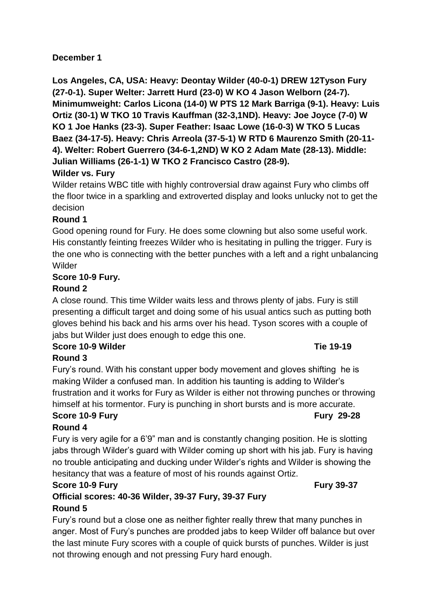# **December 1**

**Los Angeles, CA, USA: Heavy: Deontay Wilder (40-0-1) DREW 12Tyson Fury (27-0-1). Super Welter: Jarrett Hurd (23-0) W KO 4 Jason Welborn (24-7). Minimumweight: Carlos Licona (14-0) W PTS 12 Mark Barriga (9-1). Heavy: Luis Ortiz (30-1) W TKO 10 Travis Kauffman (32-3,1ND). Heavy: Joe Joyce (7-0) W KO 1 Joe Hanks (23-3). Super Feather: Isaac Lowe (16-0-3) W TKO 5 Lucas Baez (34-17-5). Heavy: Chris Arreola (37-5-1) W RTD 6 Maurenzo Smith (20-11- 4). Welter: Robert Guerrero (34-6-1,2ND) W KO 2 Adam Mate (28-13). Middle: Julian Williams (26-1-1) W TKO 2 Francisco Castro (28-9).**

# **Wilder vs. Fury**

Wilder retains WBC title with highly controversial draw against Fury who climbs off the floor twice in a sparkling and extroverted display and looks unlucky not to get the decision

# **Round 1**

Good opening round for Fury. He does some clowning but also some useful work. His constantly feinting freezes Wilder who is hesitating in pulling the trigger. Fury is the one who is connecting with the better punches with a left and a right unbalancing Wilder

# **Score 10-9 Fury.**

# **Round 2**

A close round. This time Wilder waits less and throws plenty of jabs. Fury is still presenting a difficult target and doing some of his usual antics such as putting both gloves behind his back and his arms over his head. Tyson scores with a couple of jabs but Wilder just does enough to edge this one.

### **Score 10-9 Wilder Tie 19-19 Round 3**

Fury's round. With his constant upper body movement and gloves shifting he is making Wilder a confused man. In addition his taunting is adding to Wilder's frustration and it works for Fury as Wilder is either not throwing punches or throwing himself at his tormentor. Fury is punching in short bursts and is more accurate.

# **Score 10-9 Fury Fury 29-28**

# **Round 4**

Fury is very agile for a 6'9" man and is constantly changing position. He is slotting jabs through Wilder's guard with Wilder coming up short with his jab. Fury is having no trouble anticipating and ducking under Wilder's rights and Wilder is showing the hesitancy that was a feature of most of his rounds against Ortiz.

# **Score 10-9 Fury Fury 39-37**

# **Official scores: 40-36 Wilder, 39-37 Fury, 39-37 Fury Round 5**

Fury's round but a close one as neither fighter really threw that many punches in anger. Most of Fury's punches are prodded jabs to keep Wilder off balance but over the last minute Fury scores with a couple of quick bursts of punches. Wilder is just not throwing enough and not pressing Fury hard enough.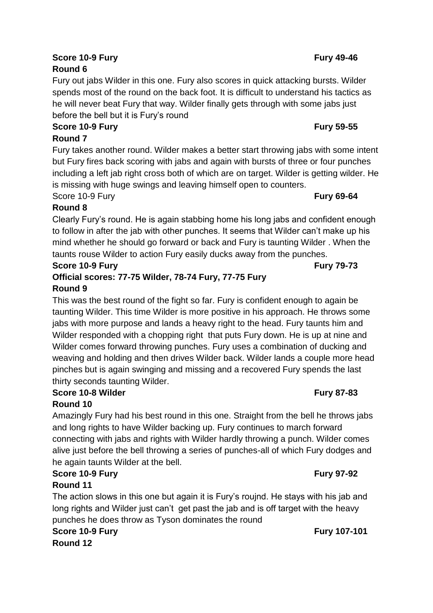# **Score 10-9 Fury Fury 49-46**

# **Round 6** Fury out jabs Wilder in this one. Fury also scores in quick attacking bursts. Wilder spends most of the round on the back foot. It is difficult to understand his tactics as he will never beat Fury that way. Wilder finally gets through with some jabs just before the bell but it is Fury's round

# **Score 10-9 Fury Fury 59-55 Round 7**

Fury takes another round. Wilder makes a better start throwing jabs with some intent but Fury fires back scoring with jabs and again with bursts of three or four punches including a left jab right cross both of which are on target. Wilder is getting wilder. He is missing with huge swings and leaving himself open to counters.

# Score 10-9 Fury **Fury 69-64**

**Round 8** Clearly Fury's round. He is again stabbing home his long jabs and confident enough to follow in after the jab with other punches. It seems that Wilder can't make up his mind whether he should go forward or back and Fury is taunting Wilder . When the taunts rouse Wilder to action Fury easily ducks away from the punches.

# **Score 10-9 Fury Fury 79-73**

# **Official scores: 77-75 Wilder, 78-74 Fury, 77-75 Fury Round 9**

This was the best round of the fight so far. Fury is confident enough to again be taunting Wilder. This time Wilder is more positive in his approach. He throws some jabs with more purpose and lands a heavy right to the head. Fury taunts him and Wilder responded with a chopping right that puts Fury down. He is up at nine and Wilder comes forward throwing punches. Fury uses a combination of ducking and weaving and holding and then drives Wilder back. Wilder lands a couple more head pinches but is again swinging and missing and a recovered Fury spends the last thirty seconds taunting Wilder.

# **Score 10-8 Wilder Fury 87-83**

# **Round 10**

Amazingly Fury had his best round in this one. Straight from the bell he throws jabs and long rights to have Wilder backing up. Fury continues to march forward connecting with jabs and rights with Wilder hardly throwing a punch. Wilder comes alive just before the bell throwing a series of punches-all of which Fury dodges and he again taunts Wilder at the bell.

# **Score 10-9 Fury Fury 97-92**

**Round 11**

The action slows in this one but again it is Fury's roujnd. He stays with his jab and long rights and Wilder just can't get past the jab and is off target with the heavy punches he does throw as Tyson dominates the round

#### **Score 10-9 Fury Fury 107-101 Round 12**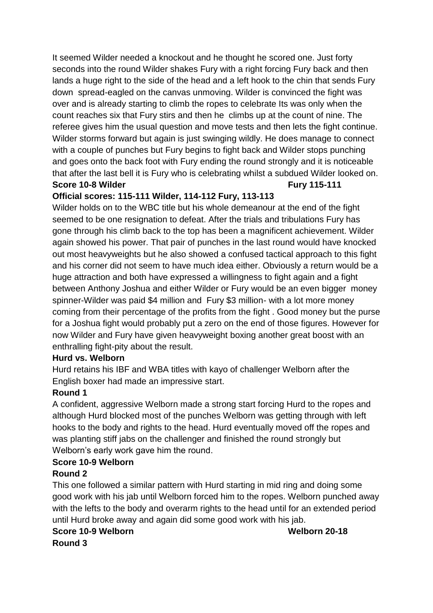It seemed Wilder needed a knockout and he thought he scored one. Just forty seconds into the round Wilder shakes Fury with a right forcing Fury back and then lands a huge right to the side of the head and a left hook to the chin that sends Fury down spread-eagled on the canvas unmoving. Wilder is convinced the fight was over and is already starting to climb the ropes to celebrate Its was only when the count reaches six that Fury stirs and then he climbs up at the count of nine. The referee gives him the usual question and move tests and then lets the fight continue. Wilder storms forward but again is just swinging wildly. He does manage to connect with a couple of punches but Fury begins to fight back and Wilder stops punching and goes onto the back foot with Fury ending the round strongly and it is noticeable that after the last bell it is Fury who is celebrating whilst a subdued Wilder looked on. **Score 10-8 Wilder Fury 115-111** 

# **Official scores: 115-111 Wilder, 114-112 Fury, 113-113**

Wilder holds on to the WBC title but his whole demeanour at the end of the fight seemed to be one resignation to defeat. After the trials and tribulations Fury has gone through his climb back to the top has been a magnificent achievement. Wilder again showed his power. That pair of punches in the last round would have knocked out most heavyweights but he also showed a confused tactical approach to this fight and his corner did not seem to have much idea either. Obviously a return would be a huge attraction and both have expressed a willingness to fight again and a fight between Anthony Joshua and either Wilder or Fury would be an even bigger money spinner-Wilder was paid \$4 million and Fury \$3 million- with a lot more money coming from their percentage of the profits from the fight . Good money but the purse for a Joshua fight would probably put a zero on the end of those figures. However for now Wilder and Fury have given heavyweight boxing another great boost with an enthralling fight-pity about the result.

# **Hurd vs. Welborn**

Hurd retains his IBF and WBA titles with kayo of challenger Welborn after the English boxer had made an impressive start.

# **Round 1**

A confident, aggressive Welborn made a strong start forcing Hurd to the ropes and although Hurd blocked most of the punches Welborn was getting through with left hooks to the body and rights to the head. Hurd eventually moved off the ropes and was planting stiff jabs on the challenger and finished the round strongly but Welborn's early work gave him the round.

# **Score 10-9 Welborn**

# **Round 2**

This one followed a similar pattern with Hurd starting in mid ring and doing some good work with his jab until Welborn forced him to the ropes. Welborn punched away with the lefts to the body and overarm rights to the head until for an extended period until Hurd broke away and again did some good work with his jab.

# **Score 10-9 Welborn Welborn 20-18**

**Round 3**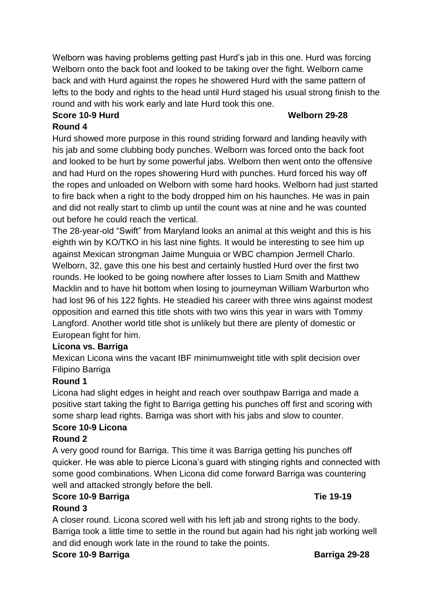Welborn was having problems getting past Hurd's jab in this one. Hurd was forcing Welborn onto the back foot and looked to be taking over the fight. Welborn came back and with Hurd against the ropes he showered Hurd with the same pattern of lefts to the body and rights to the head until Hurd staged his usual strong finish to the round and with his work early and late Hurd took this one.

### **Score 10-9 Hurd Welborn 29-28 Round 4**

Hurd showed more purpose in this round striding forward and landing heavily with his jab and some clubbing body punches. Welborn was forced onto the back foot and looked to be hurt by some powerful jabs. Welborn then went onto the offensive and had Hurd on the ropes showering Hurd with punches. Hurd forced his way off the ropes and unloaded on Welborn with some hard hooks. Welborn had just started to fire back when a right to the body dropped him on his haunches. He was in pain and did not really start to climb up until the count was at nine and he was counted out before he could reach the vertical.

The 28-year-old "Swift" from Maryland looks an animal at this weight and this is his eighth win by KO/TKO in his last nine fights. It would be interesting to see him up against Mexican strongman Jaime Munguia or WBC champion Jermell Charlo. Welborn, 32, gave this one his best and certainly hustled Hurd over the first two rounds. He looked to be going nowhere after losses to Liam Smith and Matthew Macklin and to have hit bottom when losing to journeyman William Warburton who had lost 96 of his 122 fights. He steadied his career with three wins against modest opposition and earned this title shots with two wins this year in wars with Tommy Langford. Another world title shot is unlikely but there are plenty of domestic or European fight for him.

# **Licona vs. Barriga**

Mexican Licona wins the vacant IBF minimumweight title with split decision over Filipino Barriga

# **Round 1**

Licona had slight edges in height and reach over southpaw Barriga and made a positive start taking the fight to Barriga getting his punches off first and scoring with some sharp lead rights. Barriga was short with his jabs and slow to counter.

# **Score 10-9 Licona**

# **Round 2**

A very good round for Barriga. This time it was Barriga getting his punches off quicker. He was able to pierce Licona's guard with stinging rights and connected with some good combinations. When Licona did come forward Barriga was countering well and attacked strongly before the bell.

# **Score 10-9 Barriga Times and Score 10-9 Barriga Times 19-19**

# **Round 3**

A closer round. Licona scored well with his left jab and strong rights to the body. Barriga took a little time to settle in the round but again had his right jab working well and did enough work late in the round to take the points.

**Score 10-9 Barriga 29-28**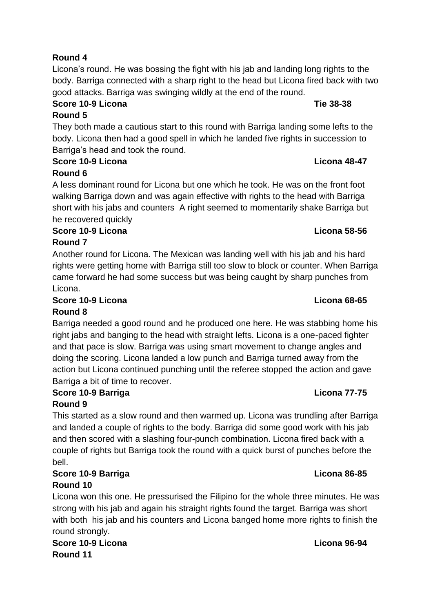# **Round 4**

Licona's round. He was bossing the fight with his jab and landing long rights to the body. Barriga connected with a sharp right to the head but Licona fired back with two good attacks. Barriga was swinging wildly at the end of the round.

# **Score 10-9 Licona Tie 38-38**

# **Round 5**

They both made a cautious start to this round with Barriga landing some lefts to the body. Licona then had a good spell in which he landed five rights in succession to Barriga's head and took the round.

# **Score 10-9 Licona Licona 48-47**

# **Round 6**

A less dominant round for Licona but one which he took. He was on the front foot walking Barriga down and was again effective with rights to the head with Barriga short with his jabs and counters A right seemed to momentarily shake Barriga but he recovered quickly

### **Score 10-9 Licona Licona 58-56 Round 7**

Another round for Licona. The Mexican was landing well with his jab and his hard rights were getting home with Barriga still too slow to block or counter. When Barriga came forward he had some success but was being caught by sharp punches from Licona.

# **Score 10-9 Licona Licona 68-65 Round 8**

Barriga needed a good round and he produced one here. He was stabbing home his right jabs and banging to the head with straight lefts. Licona is a one-paced fighter and that pace is slow. Barriga was using smart movement to change angles and doing the scoring. Licona landed a low punch and Barriga turned away from the action but Licona continued punching until the referee stopped the action and gave Barriga a bit of time to recover.

# **Score 10-9 Barriga Licona 77-75**

# **Round 9**

This started as a slow round and then warmed up. Licona was trundling after Barriga and landed a couple of rights to the body. Barriga did some good work with his jab and then scored with a slashing four-punch combination. Licona fired back with a couple of rights but Barriga took the round with a quick burst of punches before the bell.

# **Score 10-9 Barriga Licona 86-85 Round 10**

Licona won this one. He pressurised the Filipino for the whole three minutes. He was strong with his jab and again his straight rights found the target. Barriga was short with both his jab and his counters and Licona banged home more rights to finish the round strongly.

**Score 10-9 Licona Licona 96-94 Round 11**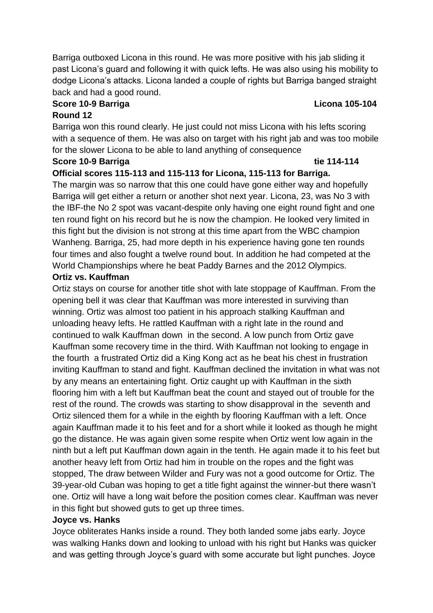Barriga outboxed Licona in this round. He was more positive with his jab sliding it past Licona's guard and following it with quick lefts. He was also using his mobility to dodge Licona's attacks. Licona landed a couple of rights but Barriga banged straight back and had a good round.

### **Score 10-9 Barriga Licona 105-104**

### **Round 12**

Barriga won this round clearly. He just could not miss Licona with his lefts scoring with a sequence of them. He was also on target with his right jab and was too mobile for the slower Licona to be able to land anything of consequence

# **Score 10-9 Barriga tie 114-114**

# **Official scores 115-113 and 115-113 for Licona, 115-113 for Barriga.**

The margin was so narrow that this one could have gone either way and hopefully Barriga will get either a return or another shot next year. Licona, 23, was No 3 with the IBF-the No 2 spot was vacant-despite only having one eight round fight and one ten round fight on his record but he is now the champion. He looked very limited in this fight but the division is not strong at this time apart from the WBC champion Wanheng. Barriga, 25, had more depth in his experience having gone ten rounds four times and also fought a twelve round bout. In addition he had competed at the World Championships where he beat Paddy Barnes and the 2012 Olympics.

### **Ortiz vs. Kauffman**

Ortiz stays on course for another title shot with late stoppage of Kauffman. From the opening bell it was clear that Kauffman was more interested in surviving than winning. Ortiz was almost too patient in his approach stalking Kauffman and unloading heavy lefts. He rattled Kauffman with a right late in the round and continued to walk Kauffman down in the second. A low punch from Ortiz gave Kauffman some recovery time in the third. With Kauffman not looking to engage in the fourth a frustrated Ortiz did a King Kong act as he beat his chest in frustration inviting Kauffman to stand and fight. Kauffman declined the invitation in what was not by any means an entertaining fight. Ortiz caught up with Kauffman in the sixth flooring him with a left but Kauffman beat the count and stayed out of trouble for the rest of the round. The crowds was starting to show disapproval in the seventh and Ortiz silenced them for a while in the eighth by flooring Kauffman with a left. Once again Kauffman made it to his feet and for a short while it looked as though he might go the distance. He was again given some respite when Ortiz went low again in the ninth but a left put Kauffman down again in the tenth. He again made it to his feet but another heavy left from Ortiz had him in trouble on the ropes and the fight was stopped, The draw between Wilder and Fury was not a good outcome for Ortiz. The 39-year-old Cuban was hoping to get a title fight against the winner-but there wasn't one. Ortiz will have a long wait before the position comes clear. Kauffman was never in this fight but showed guts to get up three times.

# **Joyce vs. Hanks**

Joyce obliterates Hanks inside a round. They both landed some jabs early. Joyce was walking Hanks down and looking to unload with his right but Hanks was quicker and was getting through Joyce's guard with some accurate but light punches. Joyce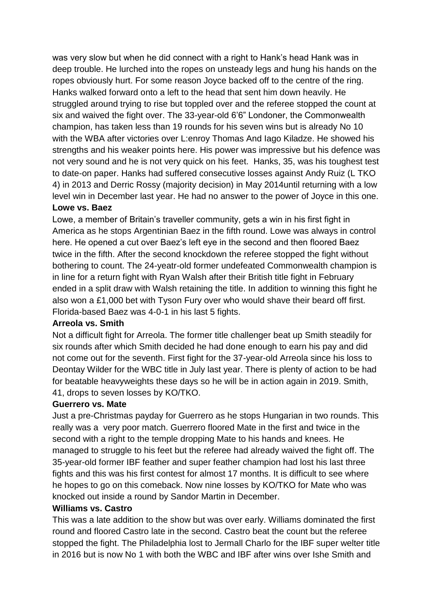was very slow but when he did connect with a right to Hank's head Hank was in deep trouble. He lurched into the ropes on unsteady legs and hung his hands on the ropes obviously hurt. For some reason Joyce backed off to the centre of the ring. Hanks walked forward onto a left to the head that sent him down heavily. He struggled around trying to rise but toppled over and the referee stopped the count at six and waived the fight over. The 33-year-old 6'6" Londoner, the Commonwealth champion, has taken less than 19 rounds for his seven wins but is already No 10 with the WBA after victories over L:enroy Thomas And Iago Kiladze. He showed his strengths and his weaker points here. His power was impressive but his defence was not very sound and he is not very quick on his feet. Hanks, 35, was his toughest test to date-on paper. Hanks had suffered consecutive losses against Andy Ruiz (L TKO 4) in 2013 and Derric Rossy (majority decision) in May 2014until returning with a low level win in December last year. He had no answer to the power of Joyce in this one. **Lowe vs. Baez**

Lowe, a member of Britain's traveller community, gets a win in his first fight in America as he stops Argentinian Baez in the fifth round. Lowe was always in control here. He opened a cut over Baez's left eye in the second and then floored Baez twice in the fifth. After the second knockdown the referee stopped the fight without bothering to count. The 24-yeatr-old former undefeated Commonwealth champion is in line for a return fight with Ryan Walsh after their British title fight in February ended in a split draw with Walsh retaining the title. In addition to winning this fight he also won a £1,000 bet with Tyson Fury over who would shave their beard off first. Florida-based Baez was 4-0-1 in his last 5 fights.

# **Arreola vs. Smith**

Not a difficult fight for Arreola. The former title challenger beat up Smith steadily for six rounds after which Smith decided he had done enough to earn his pay and did not come out for the seventh. First fight for the 37-year-old Arreola since his loss to Deontay Wilder for the WBC title in July last year. There is plenty of action to be had for beatable heavyweights these days so he will be in action again in 2019. Smith, 41, drops to seven losses by KO/TKO.

# **Guerrero vs. Mate**

Just a pre-Christmas payday for Guerrero as he stops Hungarian in two rounds. This really was a very poor match. Guerrero floored Mate in the first and twice in the second with a right to the temple dropping Mate to his hands and knees. He managed to struggle to his feet but the referee had already waived the fight off. The 35-year-old former IBF feather and super feather champion had lost his last three fights and this was his first contest for almost 17 months. It is difficult to see where he hopes to go on this comeback. Now nine losses by KO/TKO for Mate who was knocked out inside a round by Sandor Martin in December.

### **Williams vs. Castro**

This was a late addition to the show but was over early. Williams dominated the first round and floored Castro late in the second. Castro beat the count but the referee stopped the fight. The Philadelphia lost to Jermall Charlo for the IBF super welter title in 2016 but is now No 1 with both the WBC and IBF after wins over Ishe Smith and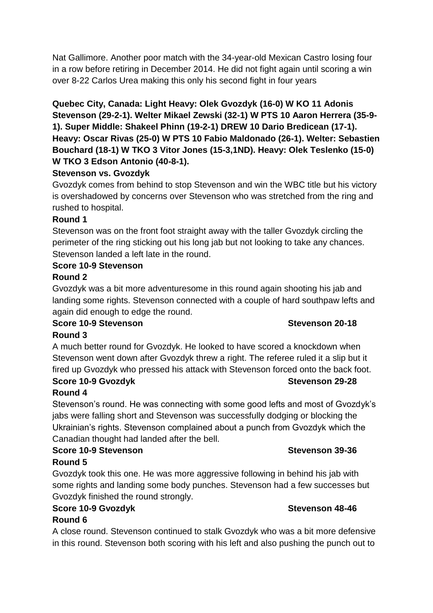Nat Gallimore. Another poor match with the 34-year-old Mexican Castro losing four in a row before retiring in December 2014. He did not fight again until scoring a win over 8-22 Carlos Urea making this only his second fight in four years

**Quebec City, Canada: Light Heavy: Olek Gvozdyk (16-0) W KO 11 Adonis Stevenson (29-2-1). Welter Mikael Zewski (32-1) W PTS 10 Aaron Herrera (35-9- 1). Super Middle: Shakeel Phinn (19-2-1) DREW 10 Dario Bredicean (17-1). Heavy: Oscar Rivas (25-0) W PTS 10 Fabio Maldonado (26-1). Welter: Sebastien Bouchard (18-1) W TKO 3 Vitor Jones (15-3,1ND). Heavy: Olek Teslenko (15-0) W TKO 3 Edson Antonio (40-8-1).**

# **Stevenson vs. Gvozdyk**

Gvozdyk comes from behind to stop Stevenson and win the WBC title but his victory is overshadowed by concerns over Stevenson who was stretched from the ring and rushed to hospital.

# **Round 1**

Stevenson was on the front foot straight away with the taller Gvozdyk circling the perimeter of the ring sticking out his long jab but not looking to take any chances. Stevenson landed a left late in the round.

# **Score 10-9 Stevenson**

# **Round 2**

Gvozdyk was a bit more adventuresome in this round again shooting his jab and landing some rights. Stevenson connected with a couple of hard southpaw lefts and again did enough to edge the round.

# **Score 10-9 Stevenson Stevenson 20-18**

# **Round 3**

A much better round for Gvozdyk. He looked to have scored a knockdown when Stevenson went down after Gvozdyk threw a right. The referee ruled it a slip but it fired up Gvozdyk who pressed his attack with Stevenson forced onto the back foot.

### **Score 10-9 Gvozdyk Stevenson 29-28 Round 4**

Stevenson's round. He was connecting with some good lefts and most of Gvozdyk's jabs were falling short and Stevenson was successfully dodging or blocking the Ukrainian's rights. Stevenson complained about a punch from Gvozdyk which the Canadian thought had landed after the bell.

# **Score 10-9 Stevenson Stevenson 39-36**

# **Round 5**

Gvozdyk took this one. He was more aggressive following in behind his jab with some rights and landing some body punches. Stevenson had a few successes but Gvozdyk finished the round strongly.

# **Score 10-9 Gvozdyk Stevenson 48-46**

# **Round 6**

A close round. Stevenson continued to stalk Gvozdyk who was a bit more defensive in this round. Stevenson both scoring with his left and also pushing the punch out to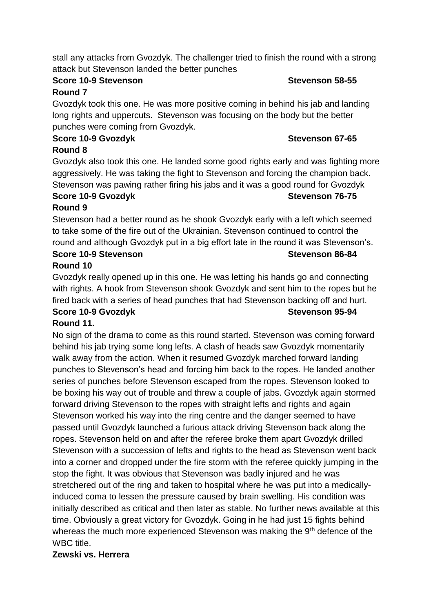stall any attacks from Gvozdyk. The challenger tried to finish the round with a strong attack but Stevenson landed the better punches

### **Score 10-9 Stevenson Stevenson 58-55**

# **Round 7**

Gvozdyk took this one. He was more positive coming in behind his jab and landing long rights and uppercuts. Stevenson was focusing on the body but the better punches were coming from Gvozdyk.

# **Score 10-9 Gvozdyk Stevenson 67-65**

# **Round 8**

Gvozdyk also took this one. He landed some good rights early and was fighting more aggressively. He was taking the fight to Stevenson and forcing the champion back. Stevenson was pawing rather firing his jabs and it was a good round for Gvozdyk

#### **Score 10-9 Gvozdyk Stevenson 76-75 Round 9**

Stevenson had a better round as he shook Gvozdyk early with a left which seemed to take some of the fire out of the Ukrainian. Stevenson continued to control the round and although Gvozdyk put in a big effort late in the round it was Stevenson's. **Score 10-9 Stevenson Stevenson 86-84**

# **Round 10**

Gvozdyk really opened up in this one. He was letting his hands go and connecting with rights. A hook from Stevenson shook Gvozdyk and sent him to the ropes but he fired back with a series of head punches that had Stevenson backing off and hurt. **Score 10-9 Gvozdyk Stevenson 95-94**

# **Round 11.**

No sign of the drama to come as this round started. Stevenson was coming forward behind his jab trying some long lefts. A clash of heads saw Gvozdyk momentarily walk away from the action. When it resumed Gvozdyk marched forward landing punches to Stevenson's head and forcing him back to the ropes. He landed another series of punches before Stevenson escaped from the ropes. Stevenson looked to be boxing his way out of trouble and threw a couple of jabs. Gvozdyk again stormed forward driving Stevenson to the ropes with straight lefts and rights and again Stevenson worked his way into the ring centre and the danger seemed to have passed until Gvozdyk launched a furious attack driving Stevenson back along the ropes. Stevenson held on and after the referee broke them apart Gvozdyk drilled Stevenson with a succession of lefts and rights to the head as Stevenson went back into a corner and dropped under the fire storm with the referee quickly jumping in the stop the fight. It was obvious that Stevenson was badly injured and he was stretchered out of the ring and taken to hospital where he was put into a medicallyinduced coma to lessen the pressure caused by brain swelling. His condition was initially described as critical and then later as stable. No further news available at this time. Obviously a great victory for Gvozdyk. Going in he had just 15 fights behind whereas the much more experienced Stevenson was making the 9<sup>th</sup> defence of the WBC title.

# **Zewski vs. Herrera**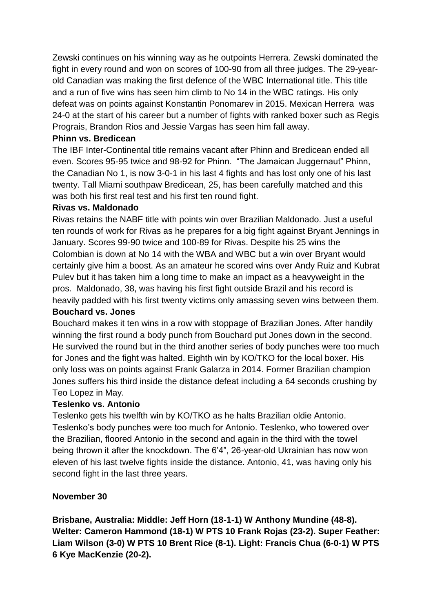Zewski continues on his winning way as he outpoints Herrera. Zewski dominated the fight in every round and won on scores of 100-90 from all three judges. The 29-yearold Canadian was making the first defence of the WBC International title. This title and a run of five wins has seen him climb to No 14 in the WBC ratings. His only defeat was on points against Konstantin Ponomarev in 2015. Mexican Herrera was 24-0 at the start of his career but a number of fights with ranked boxer such as Regis Prograis, Brandon Rios and Jessie Vargas has seen him fall away.

# **Phinn vs. Bredicean**

The IBF Inter-Continental title remains vacant after Phinn and Bredicean ended all even. Scores 95-95 twice and 98-92 for Phinn. "The Jamaican Juggernaut" Phinn, the Canadian No 1, is now 3-0-1 in his last 4 fights and has lost only one of his last twenty. Tall Miami southpaw Bredicean, 25, has been carefully matched and this was both his first real test and his first ten round fight.

# **Rivas vs. Maldonado**

Rivas retains the NABF title with points win over Brazilian Maldonado. Just a useful ten rounds of work for Rivas as he prepares for a big fight against Bryant Jennings in January. Scores 99-90 twice and 100-89 for Rivas. Despite his 25 wins the Colombian is down at No 14 with the WBA and WBC but a win over Bryant would certainly give him a boost. As an amateur he scored wins over Andy Ruiz and Kubrat Pulev but it has taken him a long time to make an impact as a heavyweight in the pros. Maldonado, 38, was having his first fight outside Brazil and his record is heavily padded with his first twenty victims only amassing seven wins between them.

# **Bouchard vs. Jones**

Bouchard makes it ten wins in a row with stoppage of Brazilian Jones. After handily winning the first round a body punch from Bouchard put Jones down in the second. He survived the round but in the third another series of body punches were too much for Jones and the fight was halted. Eighth win by KO/TKO for the local boxer. His only loss was on points against Frank Galarza in 2014. Former Brazilian champion Jones suffers his third inside the distance defeat including a 64 seconds crushing by Teo Lopez in May.

# **Teslenko vs. Antonio**

Teslenko gets his twelfth win by KO/TKO as he halts Brazilian oldie Antonio. Teslenko's body punches were too much for Antonio. Teslenko, who towered over the Brazilian, floored Antonio in the second and again in the third with the towel being thrown it after the knockdown. The 6'4", 26-year-old Ukrainian has now won eleven of his last twelve fights inside the distance. Antonio, 41, was having only his second fight in the last three years.

# **November 30**

**Brisbane, Australia: Middle: Jeff Horn (18-1-1) W Anthony Mundine (48-8). Welter: Cameron Hammond (18-1) W PTS 10 Frank Rojas (23-2). Super Feather: Liam Wilson (3-0) W PTS 10 Brent Rice (8-1). Light: Francis Chua (6-0-1) W PTS 6 Kye MacKenzie (20-2).**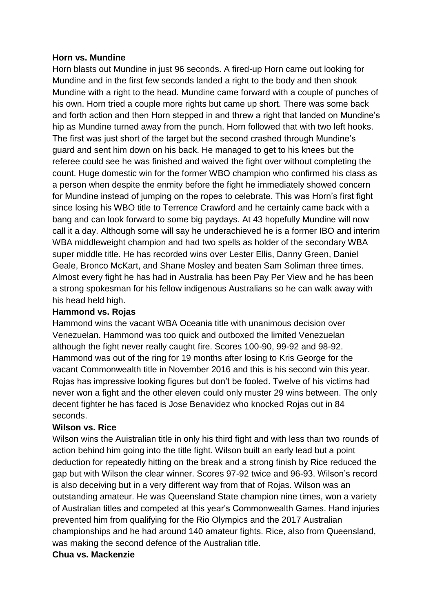### **Horn vs. Mundine**

Horn blasts out Mundine in just 96 seconds. A fired-up Horn came out looking for Mundine and in the first few seconds landed a right to the body and then shook Mundine with a right to the head. Mundine came forward with a couple of punches of his own. Horn tried a couple more rights but came up short. There was some back and forth action and then Horn stepped in and threw a right that landed on Mundine's hip as Mundine turned away from the punch. Horn followed that with two left hooks. The first was just short of the target but the second crashed through Mundine's guard and sent him down on his back. He managed to get to his knees but the referee could see he was finished and waived the fight over without completing the count. Huge domestic win for the former WBO champion who confirmed his class as a person when despite the enmity before the fight he immediately showed concern for Mundine instead of jumping on the ropes to celebrate. This was Horn's first fight since losing his WBO title to Terrence Crawford and he certainly came back with a bang and can look forward to some big paydays. At 43 hopefully Mundine will now call it a day. Although some will say he underachieved he is a former IBO and interim WBA middleweight champion and had two spells as holder of the secondary WBA super middle title. He has recorded wins over Lester Ellis, Danny Green, Daniel Geale, Bronco McKart, and Shane Mosley and beaten Sam Soliman three times. Almost every fight he has had in Australia has been Pay Per View and he has been a strong spokesman for his fellow indigenous Australians so he can walk away with his head held high.

### **Hammond vs. Rojas**

Hammond wins the vacant WBA Oceania title with unanimous decision over Venezuelan. Hammond was too quick and outboxed the limited Venezuelan although the fight never really caught fire. Scores 100-90, 99-92 and 98-92. Hammond was out of the ring for 19 months after losing to Kris George for the vacant Commonwealth title in November 2016 and this is his second win this year. Rojas has impressive looking figures but don't be fooled. Twelve of his victims had never won a fight and the other eleven could only muster 29 wins between. The only decent fighter he has faced is Jose Benavidez who knocked Rojas out in 84 seconds.

# **Wilson vs. Rice**

Wilson wins the Auistralian title in only his third fight and with less than two rounds of action behind him going into the title fight. Wilson built an early lead but a point deduction for repeatedly hitting on the break and a strong finish by Rice reduced the gap but with Wilson the clear winner. Scores 97-92 twice and 96-93. Wilson's record is also deceiving but in a very different way from that of Rojas. Wilson was an outstanding amateur. He was Queensland State champion nine times, won a variety of Australian titles and competed at this year's Commonwealth Games. Hand injuries prevented him from qualifying for the Rio Olympics and the 2017 Australian championships and he had around 140 amateur fights. Rice, also from Queensland, was making the second defence of the Australian title.

### **Chua vs. Mackenzie**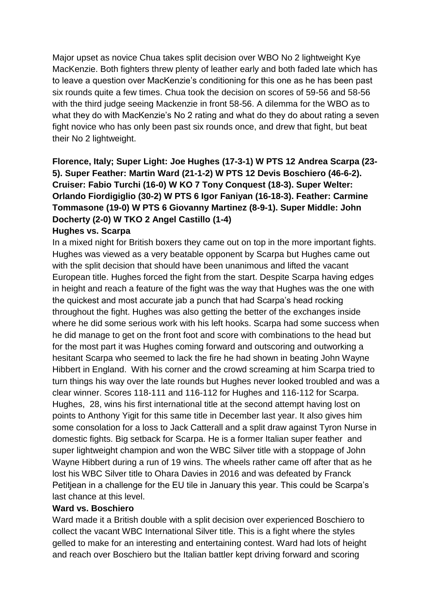Major upset as novice Chua takes split decision over WBO No 2 lightweight Kye MacKenzie. Both fighters threw plenty of leather early and both faded late which has to leave a question over MacKenzie's conditioning for this one as he has been past six rounds quite a few times. Chua took the decision on scores of 59-56 and 58-56 with the third judge seeing Mackenzie in front 58-56. A dilemma for the WBO as to what they do with MacKenzie's No 2 rating and what do they do about rating a seven fight novice who has only been past six rounds once, and drew that fight, but beat their No 2 lightweight.

**Florence, Italy; Super Light: Joe Hughes (17-3-1) W PTS 12 Andrea Scarpa (23- 5). Super Feather: Martin Ward (21-1-2) W PTS 12 Devis Boschiero (46-6-2). Cruiser: Fabio Turchi (16-0) W KO 7 Tony Conquest (18-3). Super Welter: Orlando Fiordigiglio (30-2) W PTS 6 Igor Faniyan (16-18-3). Feather: Carmine Tommasone (19-0) W PTS 6 Giovanny Martinez (8-9-1). Super Middle: John Docherty (2-0) W TKO 2 Angel Castillo (1-4)**

### **Hughes vs. Scarpa**

In a mixed night for British boxers they came out on top in the more important fights. Hughes was viewed as a very beatable opponent by Scarpa but Hughes came out with the split decision that should have been unanimous and lifted the vacant European title. Hughes forced the fight from the start. Despite Scarpa having edges in height and reach a feature of the fight was the way that Hughes was the one with the quickest and most accurate jab a punch that had Scarpa's head rocking throughout the fight. Hughes was also getting the better of the exchanges inside where he did some serious work with his left hooks. Scarpa had some success when he did manage to get on the front foot and score with combinations to the head but for the most part it was Hughes coming forward and outscoring and outworking a hesitant Scarpa who seemed to lack the fire he had shown in beating John Wayne Hibbert in England. With his corner and the crowd screaming at him Scarpa tried to turn things his way over the late rounds but Hughes never looked troubled and was a clear winner. Scores 118-111 and 116-112 for Hughes and 116-112 for Scarpa. Hughes, 28, wins his first international title at the second attempt having lost on points to Anthony Yigit for this same title in December last year. It also gives him some consolation for a loss to Jack Catterall and a split draw against Tyron Nurse in domestic fights. Big setback for Scarpa. He is a former Italian super feather and super lightweight champion and won the WBC Silver title with a stoppage of John Wayne Hibbert during a run of 19 wins. The wheels rather came off after that as he lost his WBC Silver title to Ohara Davies in 2016 and was defeated by Franck Petitjean in a challenge for the EU tile in January this year. This could be Scarpa's last chance at this level.

# **Ward vs. Boschiero**

Ward made it a British double with a split decision over experienced Boschiero to collect the vacant WBC International Silver title. This is a fight where the styles gelled to make for an interesting and entertaining contest. Ward had lots of height and reach over Boschiero but the Italian battler kept driving forward and scoring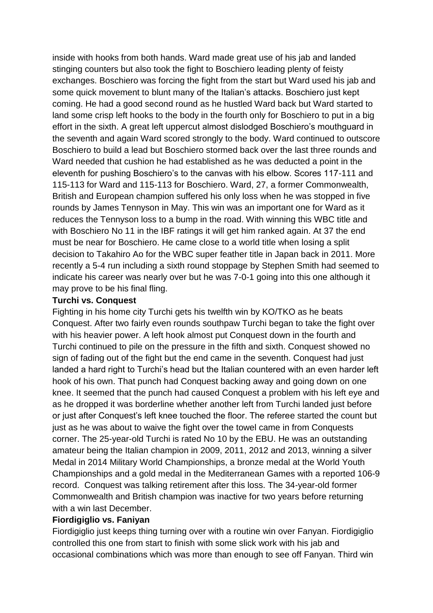inside with hooks from both hands. Ward made great use of his jab and landed stinging counters but also took the fight to Boschiero leading plenty of feisty exchanges. Boschiero was forcing the fight from the start but Ward used his jab and some quick movement to blunt many of the Italian's attacks. Boschiero just kept coming. He had a good second round as he hustled Ward back but Ward started to land some crisp left hooks to the body in the fourth only for Boschiero to put in a big effort in the sixth. A great left uppercut almost dislodged Boschiero's mouthguard in the seventh and again Ward scored strongly to the body. Ward continued to outscore Boschiero to build a lead but Boschiero stormed back over the last three rounds and Ward needed that cushion he had established as he was deducted a point in the eleventh for pushing Boschiero's to the canvas with his elbow. Scores 117-111 and 115-113 for Ward and 115-113 for Boschiero. Ward, 27, a former Commonwealth, British and European champion suffered his only loss when he was stopped in five rounds by James Tennyson in May. This win was an important one for Ward as it reduces the Tennyson loss to a bump in the road. With winning this WBC title and with Boschiero No 11 in the IBF ratings it will get him ranked again. At 37 the end must be near for Boschiero. He came close to a world title when losing a split decision to Takahiro Ao for the WBC super feather title in Japan back in 2011. More recently a 5-4 run including a sixth round stoppage by Stephen Smith had seemed to indicate his career was nearly over but he was 7-0-1 going into this one although it may prove to be his final fling.

#### **Turchi vs. Conquest**

Fighting in his home city Turchi gets his twelfth win by KO/TKO as he beats Conquest. After two fairly even rounds southpaw Turchi began to take the fight over with his heavier power. A left hook almost put Conquest down in the fourth and Turchi continued to pile on the pressure in the fifth and sixth. Conquest showed no sign of fading out of the fight but the end came in the seventh. Conquest had just landed a hard right to Turchi's head but the Italian countered with an even harder left hook of his own. That punch had Conquest backing away and going down on one knee. It seemed that the punch had caused Conquest a problem with his left eye and as he dropped it was borderline whether another left from Turchi landed just before or just after Conquest's left knee touched the floor. The referee started the count but just as he was about to waive the fight over the towel came in from Conquests corner. The 25-year-old Turchi is rated No 10 by the EBU. He was an outstanding amateur being the Italian champion in 2009, 2011, 2012 and 2013, winning a silver Medal in 2014 Military World Championships, a bronze medal at the World Youth Championships and a gold medal in the Mediterranean Games with a reported 106-9 record. Conquest was talking retirement after this loss. The 34-year-old former Commonwealth and British champion was inactive for two years before returning with a win last December.

### **Fiordigiglio vs. Faniyan**

Fiordigiglio just keeps thing turning over with a routine win over Fanyan. Fiordigiglio controlled this one from start to finish with some slick work with his jab and occasional combinations which was more than enough to see off Fanyan. Third win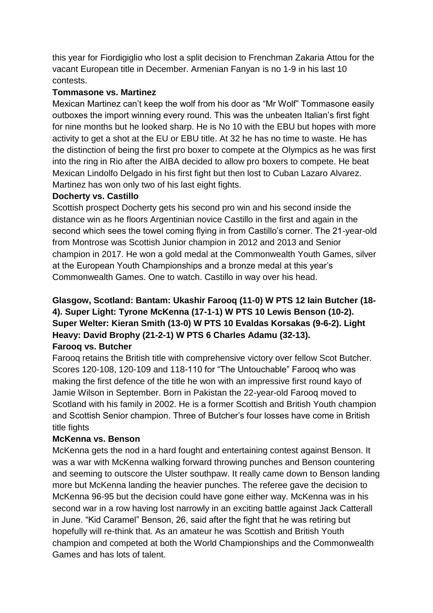this year for Fiordigiglio who lost a split decision to Frenchman Zakaria Attou for the vacant European title in December. Armenian Fanyan is no 1-9 in his last 10 contests.

# **Tommasone vs. Martinez**

Mexican Martinez can't keep the wolf from his door as "Mr Wolf" Tommasone easily outboxes the import winning every round. This was the unbeaten Italian's first fight for nine months but he looked sharp. He is No 10 with the EBU but hopes with more activity to get a shot at the EU or EBU title. At 32 he has no time to waste. He has the distinction of being the first pro boxer to compete at the Olympics as he was first into the ring in Rio after the AIBA decided to allow pro boxers to compete. He beat Mexican Lindolfo Delgado in his first fight but then lost to Cuban Lazaro Alvarez. Martinez has won only two of his last eight fights.

# **Docherty vs. Castillo**

Scottish prospect Docherty gets his second pro win and his second inside the distance win as he floors Argentinian novice Castillo in the first and again in the second which sees the towel coming flying in from Castillo's corner. The 21-year-old from Montrose was Scottish Junior champion in 2012 and 2013 and Senior champion in 2017. He won a gold medal at the Commonwealth Youth Games, silver at the European Youth Championships and a bronze medal at this year's Commonwealth Games. One to watch. Castillo in way over his head.

# **Glasgow, Scotland: Bantam: Ukashir Farooq (11-0) W PTS 12 Iain Butcher (18- 4). Super Light: Tyrone McKenna (17-1-1) W PTS 10 Lewis Benson (10-2). Super Welter: Kieran Smith (13-0) W PTS 10 Evaldas Korsakas (9-6-2). Light Heavy: David Brophy (21-2-1) W PTS 6 Charles Adamu (32-13). Farooq vs. Butcher**

Farooq retains the British title with comprehensive victory over fellow Scot Butcher. Scores 120-108, 120-109 and 118-110 for "The Untouchable" Farooq who was making the first defence of the title he won with an impressive first round kayo of Jamie Wilson in September. Born in Pakistan the 22-year-old Farooq moved to Scotland with his family in 2002. He is a former Scottish and British Youth champion and Scottish Senior champion. Three of Butcher's four losses have come in British title fights

# **McKenna vs. Benson**

McKenna gets the nod in a hard fought and entertaining contest against Benson. It was a war with McKenna walking forward throwing punches and Benson countering and seeming to outscore the Ulster southpaw. It really came down to Benson landing more but McKenna landing the heavier punches. The referee gave the decision to McKenna 96-95 but the decision could have gone either way. McKenna was in his second war in a row having lost narrowly in an exciting battle against Jack Catterall in June. "Kid Caramel" Benson, 26, said after the fight that he was retiring but hopefully will re-think that. As an amateur he was Scottish and British Youth champion and competed at both the World Championships and the Commonwealth Games and has lots of talent.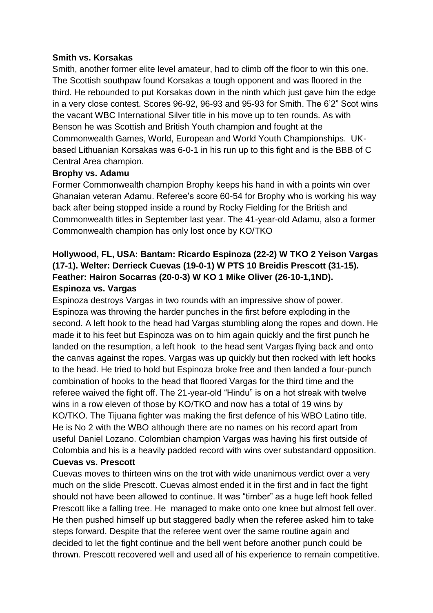### **Smith vs. Korsakas**

Smith, another former elite level amateur, had to climb off the floor to win this one. The Scottish southpaw found Korsakas a tough opponent and was floored in the third. He rebounded to put Korsakas down in the ninth which just gave him the edge in a very close contest. Scores 96-92, 96-93 and 95-93 for Smith. The 6'2" Scot wins the vacant WBC International Silver title in his move up to ten rounds. As with Benson he was Scottish and British Youth champion and fought at the Commonwealth Games, World, European and World Youth Championships. UKbased Lithuanian Korsakas was 6-0-1 in his run up to this fight and is the BBB of C Central Area champion.

# **Brophy vs. Adamu**

Former Commonwealth champion Brophy keeps his hand in with a points win over Ghanaian veteran Adamu. Referee's score 60-54 for Brophy who is working his way back after being stopped inside a round by Rocky Fielding for the British and Commonwealth titles in September last year. The 41-year-old Adamu, also a former Commonwealth champion has only lost once by KO/TKO

# **Hollywood, FL, USA: Bantam: Ricardo Espinoza (22-2) W TKO 2 Yeison Vargas (17-1). Welter: Derrieck Cuevas (19-0-1) W PTS 10 Breidis Prescott (31-15). Feather: Hairon Socarras (20-0-3) W KO 1 Mike Oliver (26-10-1,1ND). Espinoza vs. Vargas**

Espinoza destroys Vargas in two rounds with an impressive show of power. Espinoza was throwing the harder punches in the first before exploding in the second. A left hook to the head had Vargas stumbling along the ropes and down. He made it to his feet but Espinoza was on to him again quickly and the first punch he landed on the resumption, a left hook to the head sent Vargas flying back and onto the canvas against the ropes. Vargas was up quickly but then rocked with left hooks to the head. He tried to hold but Espinoza broke free and then landed a four-punch combination of hooks to the head that floored Vargas for the third time and the referee waived the fight off. The 21-year-old "Hindu" is on a hot streak with twelve wins in a row eleven of those by KO/TKO and now has a total of 19 wins by KO/TKO. The Tijuana fighter was making the first defence of his WBO Latino title. He is No 2 with the WBO although there are no names on his record apart from useful Daniel Lozano. Colombian champion Vargas was having his first outside of Colombia and his is a heavily padded record with wins over substandard opposition. **Cuevas vs. Prescott**

Cuevas moves to thirteen wins on the trot with wide unanimous verdict over a very much on the slide Prescott. Cuevas almost ended it in the first and in fact the fight should not have been allowed to continue. It was "timber" as a huge left hook felled Prescott like a falling tree. He managed to make onto one knee but almost fell over. He then pushed himself up but staggered badly when the referee asked him to take steps forward. Despite that the referee went over the same routine again and decided to let the fight continue and the bell went before another punch could be thrown. Prescott recovered well and used all of his experience to remain competitive.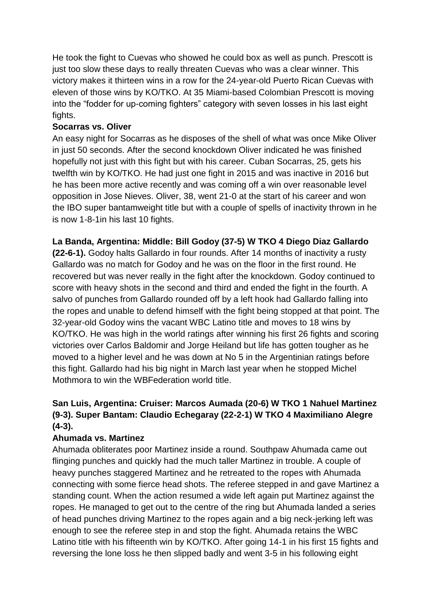He took the fight to Cuevas who showed he could box as well as punch. Prescott is just too slow these days to really threaten Cuevas who was a clear winner. This victory makes it thirteen wins in a row for the 24-year-old Puerto Rican Cuevas with eleven of those wins by KO/TKO. At 35 Miami-based Colombian Prescott is moving into the "fodder for up-coming fighters" category with seven losses in his last eight fights.

# **Socarras vs. Oliver**

An easy night for Socarras as he disposes of the shell of what was once Mike Oliver in just 50 seconds. After the second knockdown Oliver indicated he was finished hopefully not just with this fight but with his career. Cuban Socarras, 25, gets his twelfth win by KO/TKO. He had just one fight in 2015 and was inactive in 2016 but he has been more active recently and was coming off a win over reasonable level opposition in Jose Nieves. Oliver, 38, went 21-0 at the start of his career and won the IBO super bantamweight title but with a couple of spells of inactivity thrown in he is now 1-8-1in his last 10 fights.

# **La Banda, Argentina: Middle: Bill Godoy (37-5) W TKO 4 Diego Diaz Gallardo**

**(22-6-1).** Godoy halts Gallardo in four rounds. After 14 months of inactivity a rusty Gallardo was no match for Godoy and he was on the floor in the first round. He recovered but was never really in the fight after the knockdown. Godoy continued to score with heavy shots in the second and third and ended the fight in the fourth. A salvo of punches from Gallardo rounded off by a left hook had Gallardo falling into the ropes and unable to defend himself with the fight being stopped at that point. The 32-year-old Godoy wins the vacant WBC Latino title and moves to 18 wins by KO/TKO. He was high in the world ratings after winning his first 26 fights and scoring victories over Carlos Baldomir and Jorge Heiland but life has gotten tougher as he moved to a higher level and he was down at No 5 in the Argentinian ratings before this fight. Gallardo had his big night in March last year when he stopped Michel Mothmora to win the WBFederation world title.

# **San Luis, Argentina: Cruiser: Marcos Aumada (20-6) W TKO 1 Nahuel Martinez (9-3). Super Bantam: Claudio Echegaray (22-2-1) W TKO 4 Maximiliano Alegre (4-3).**

# **Ahumada vs. Martinez**

Ahumada obliterates poor Martinez inside a round. Southpaw Ahumada came out flinging punches and quickly had the much taller Martinez in trouble. A couple of heavy punches staggered Martinez and he retreated to the ropes with Ahumada connecting with some fierce head shots. The referee stepped in and gave Martinez a standing count. When the action resumed a wide left again put Martinez against the ropes. He managed to get out to the centre of the ring but Ahumada landed a series of head punches driving Martinez to the ropes again and a big neck-jerking left was enough to see the referee step in and stop the fight. Ahumada retains the WBC Latino title with his fifteenth win by KO/TKO. After going 14-1 in his first 15 fights and reversing the lone loss he then slipped badly and went 3-5 in his following eight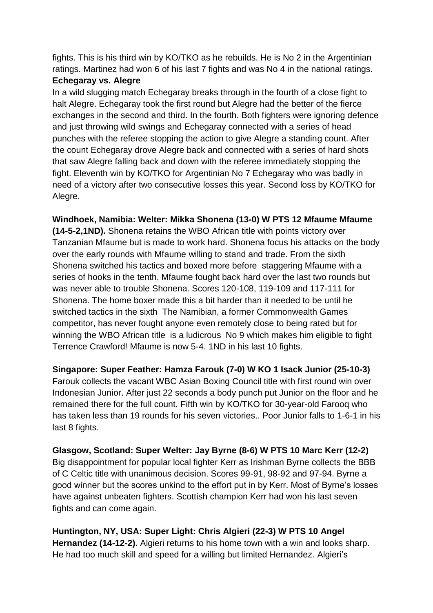fights. This is his third win by KO/TKO as he rebuilds. He is No 2 in the Argentinian ratings. Martinez had won 6 of his last 7 fights and was No 4 in the national ratings.

# **Echegaray vs. Alegre**

In a wild slugging match Echegaray breaks through in the fourth of a close fight to halt Alegre. Echegaray took the first round but Alegre had the better of the fierce exchanges in the second and third. In the fourth. Both fighters were ignoring defence and just throwing wild swings and Echegaray connected with a series of head punches with the referee stopping the action to give Alegre a standing count. After the count Echegaray drove Alegre back and connected with a series of hard shots that saw Alegre falling back and down with the referee immediately stopping the fight. Eleventh win by KO/TKO for Argentinian No 7 Echegaray who was badly in need of a victory after two consecutive losses this year. Second loss by KO/TKO for Alegre.

**Windhoek, Namibia: Welter: Mikka Shonena (13-0) W PTS 12 Mfaume Mfaume** 

**(14-5-2,1ND).** Shonena retains the WBO African title with points victory over Tanzanian Mfaume but is made to work hard. Shonena focus his attacks on the body over the early rounds with Mfaume willing to stand and trade. From the sixth Shonena switched his tactics and boxed more before staggering Mfaume with a series of hooks in the tenth. Mfaume fought back hard over the last two rounds but was never able to trouble Shonena. Scores 120-108, 119-109 and 117-111 for Shonena. The home boxer made this a bit harder than it needed to be until he switched tactics in the sixth The Namibian, a former Commonwealth Games competitor, has never fought anyone even remotely close to being rated but for winning the WBO African title is a ludicrous No 9 which makes him eligible to fight Terrence Crawford! Mfaume is now 5-4. 1ND in his last 10 fights.

**Singapore: Super Feather: Hamza Farouk (7-0) W KO 1 Isack Junior (25-10-3)** Farouk collects the vacant WBC Asian Boxing Council title with first round win over Indonesian Junior. After just 22 seconds a body punch put Junior on the floor and he remained there for the full count. Fifth win by KO/TKO for 30-year-old Farooq who has taken less than 19 rounds for his seven victories.. Poor Junior falls to 1-6-1 in his last 8 fights.

**Glasgow, Scotland: Super Welter: Jay Byrne (8-6) W PTS 10 Marc Kerr (12-2)**  Big disappointment for popular local fighter Kerr as Irishman Byrne collects the BBB of C Celtic title with unanimous decision. Scores 99-91, 98-92 and 97-94. Byrne a good winner but the scores unkind to the effort put in by Kerr. Most of Byrne's losses have against unbeaten fighters. Scottish champion Kerr had won his last seven fights and can come again.

**Huntington, NY, USA: Super Light: Chris Algieri (22-3) W PTS 10 Angel Hernandez (14-12-2).** Algieri returns to his home town with a win and looks sharp. He had too much skill and speed for a willing but limited Hernandez. Algieri's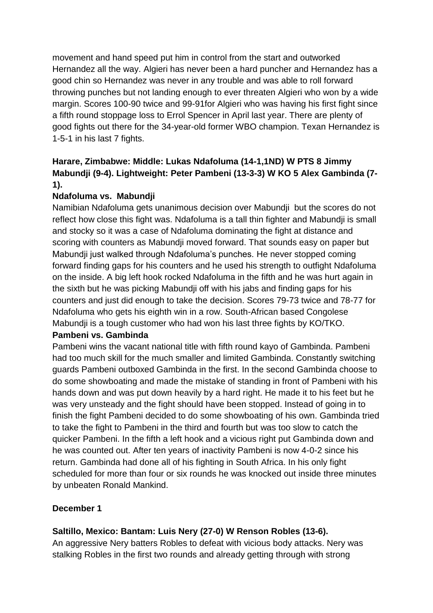movement and hand speed put him in control from the start and outworked Hernandez all the way. Algieri has never been a hard puncher and Hernandez has a good chin so Hernandez was never in any trouble and was able to roll forward throwing punches but not landing enough to ever threaten Algieri who won by a wide margin. Scores 100-90 twice and 99-91for Algieri who was having his first fight since a fifth round stoppage loss to Errol Spencer in April last year. There are plenty of good fights out there for the 34-year-old former WBO champion. Texan Hernandez is 1-5-1 in his last 7 fights.

# **Harare, Zimbabwe: Middle: Lukas Ndafoluma (14-1,1ND) W PTS 8 Jimmy Mabundji (9-4). Lightweight: Peter Pambeni (13-3-3) W KO 5 Alex Gambinda (7- 1).**

# **Ndafoluma vs. Mabundji**

Namibian Ndafoluma gets unanimous decision over Mabundji but the scores do not reflect how close this fight was. Ndafoluma is a tall thin fighter and Mabundji is small and stocky so it was a case of Ndafoluma dominating the fight at distance and scoring with counters as Mabundji moved forward. That sounds easy on paper but Mabundji just walked through Ndafoluma's punches. He never stopped coming forward finding gaps for his counters and he used his strength to outfight Ndafoluma on the inside. A big left hook rocked Ndafoluma in the fifth and he was hurt again in the sixth but he was picking Mabundji off with his jabs and finding gaps for his counters and just did enough to take the decision. Scores 79-73 twice and 78-77 for Ndafoluma who gets his eighth win in a row. South-African based Congolese Mabundji is a tough customer who had won his last three fights by KO/TKO.

# **Pambeni vs. Gambinda**

Pambeni wins the vacant national title with fifth round kayo of Gambinda. Pambeni had too much skill for the much smaller and limited Gambinda. Constantly switching guards Pambeni outboxed Gambinda in the first. In the second Gambinda choose to do some showboating and made the mistake of standing in front of Pambeni with his hands down and was put down heavily by a hard right. He made it to his feet but he was very unsteady and the fight should have been stopped. Instead of going in to finish the fight Pambeni decided to do some showboating of his own. Gambinda tried to take the fight to Pambeni in the third and fourth but was too slow to catch the quicker Pambeni. In the fifth a left hook and a vicious right put Gambinda down and he was counted out. After ten years of inactivity Pambeni is now 4-0-2 since his return. Gambinda had done all of his fighting in South Africa. In his only fight scheduled for more than four or six rounds he was knocked out inside three minutes by unbeaten Ronald Mankind.

# **December 1**

# **Saltillo, Mexico: Bantam: Luis Nery (27-0) W Renson Robles (13-6).**

An aggressive Nery batters Robles to defeat with vicious body attacks. Nery was stalking Robles in the first two rounds and already getting through with strong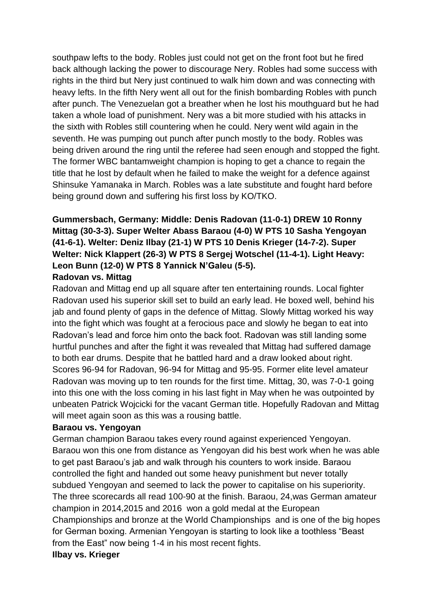southpaw lefts to the body. Robles just could not get on the front foot but he fired back although lacking the power to discourage Nery. Robles had some success with rights in the third but Nery just continued to walk him down and was connecting with heavy lefts. In the fifth Nery went all out for the finish bombarding Robles with punch after punch. The Venezuelan got a breather when he lost his mouthguard but he had taken a whole load of punishment. Nery was a bit more studied with his attacks in the sixth with Robles still countering when he could. Nery went wild again in the seventh. He was pumping out punch after punch mostly to the body. Robles was being driven around the ring until the referee had seen enough and stopped the fight. The former WBC bantamweight champion is hoping to get a chance to regain the title that he lost by default when he failed to make the weight for a defence against Shinsuke Yamanaka in March. Robles was a late substitute and fought hard before being ground down and suffering his first loss by KO/TKO.

# **Gummersbach, Germany: Middle: Denis Radovan (11-0-1) DREW 10 Ronny Mittag (30-3-3). Super Welter Abass Baraou (4-0) W PTS 10 Sasha Yengoyan (41-6-1). Welter: Deniz Ilbay (21-1) W PTS 10 Denis Krieger (14-7-2). Super Welter: Nick Klappert (26-3) W PTS 8 Sergej Wotschel (11-4-1). Light Heavy: Leon Bunn (12-0) W PTS 8 Yannick N'Galeu (5-5).**

### **Radovan vs. Mittag**

Radovan and Mittag end up all square after ten entertaining rounds. Local fighter Radovan used his superior skill set to build an early lead. He boxed well, behind his jab and found plenty of gaps in the defence of Mittag. Slowly Mittag worked his way into the fight which was fought at a ferocious pace and slowly he began to eat into Radovan's lead and force him onto the back foot. Radovan was still landing some hurtful punches and after the fight it was revealed that Mittag had suffered damage to both ear drums. Despite that he battled hard and a draw looked about right. Scores 96-94 for Radovan, 96-94 for Mittag and 95-95. Former elite level amateur Radovan was moving up to ten rounds for the first time. Mittag, 30, was 7-0-1 going into this one with the loss coming in his last fight in May when he was outpointed by unbeaten Patrick Wojcicki for the vacant German title. Hopefully Radovan and Mittag will meet again soon as this was a rousing battle.

### **Baraou vs. Yengoyan**

German champion Baraou takes every round against experienced Yengoyan. Baraou won this one from distance as Yengoyan did his best work when he was able to get past Baraou's jab and walk through his counters to work inside. Baraou controlled the fight and handed out some heavy punishment but never totally subdued Yengoyan and seemed to lack the power to capitalise on his superiority. The three scorecards all read 100-90 at the finish. Baraou, 24,was German amateur champion in 2014,2015 and 2016 won a gold medal at the European Championships and bronze at the World Championships and is one of the big hopes for German boxing. Armenian Yengoyan is starting to look like a toothless "Beast from the East" now being 1-4 in his most recent fights. **Ilbay vs. Krieger**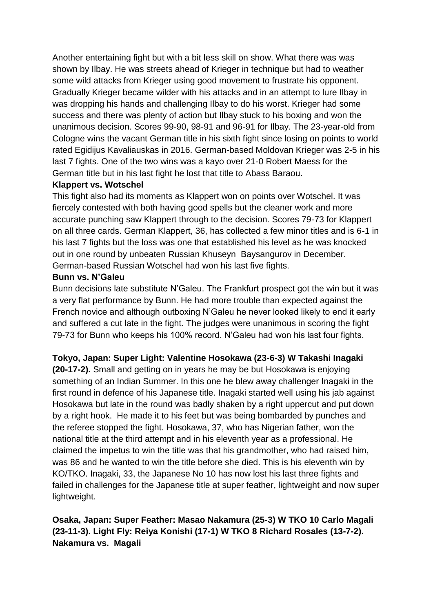Another entertaining fight but with a bit less skill on show. What there was was shown by Ilbay. He was streets ahead of Krieger in technique but had to weather some wild attacks from Krieger using good movement to frustrate his opponent. Gradually Krieger became wilder with his attacks and in an attempt to lure Ilbay in was dropping his hands and challenging Ilbay to do his worst. Krieger had some success and there was plenty of action but Ilbay stuck to his boxing and won the unanimous decision. Scores 99-90, 98-91 and 96-91 for Ilbay. The 23-year-old from Cologne wins the vacant German title in his sixth fight since losing on points to world rated Egidijus Kavaliauskas in 2016. German-based Moldovan Krieger was 2-5 in his last 7 fights. One of the two wins was a kayo over 21-0 Robert Maess for the German title but in his last fight he lost that title to Abass Baraou.

### **Klappert vs. Wotschel**

This fight also had its moments as Klappert won on points over Wotschel. It was fiercely contested with both having good spells but the cleaner work and more accurate punching saw Klappert through to the decision. Scores 79-73 for Klappert on all three cards. German Klappert, 36, has collected a few minor titles and is 6-1 in his last 7 fights but the loss was one that established his level as he was knocked out in one round by unbeaten Russian Khuseyn Baysangurov in December. German-based Russian Wotschel had won his last five fights.

### **Bunn vs. N'Galeu**

Bunn decisions late substitute N'Galeu. The Frankfurt prospect got the win but it was a very flat performance by Bunn. He had more trouble than expected against the French novice and although outboxing N'Galeu he never looked likely to end it early and suffered a cut late in the fight. The judges were unanimous in scoring the fight 79-73 for Bunn who keeps his 100% record. N'Galeu had won his last four fights.

# **Tokyo, Japan: Super Light: Valentine Hosokawa (23-6-3) W Takashi Inagaki**

**(20-17-2).** Small and getting on in years he may be but Hosokawa is enjoying something of an Indian Summer. In this one he blew away challenger Inagaki in the first round in defence of his Japanese title. Inagaki started well using his jab against Hosokawa but late in the round was badly shaken by a right uppercut and put down by a right hook. He made it to his feet but was being bombarded by punches and the referee stopped the fight. Hosokawa, 37, who has Nigerian father, won the national title at the third attempt and in his eleventh year as a professional. He claimed the impetus to win the title was that his grandmother, who had raised him, was 86 and he wanted to win the title before she died. This is his eleventh win by KO/TKO. Inagaki, 33, the Japanese No 10 has now lost his last three fights and failed in challenges for the Japanese title at super feather, lightweight and now super lightweight.

# **Osaka, Japan: Super Feather: Masao Nakamura (25-3) W TKO 10 Carlo Magali (23-11-3). Light Fly: Reiya Konishi (17-1) W TKO 8 Richard Rosales (13-7-2). Nakamura vs. Magali**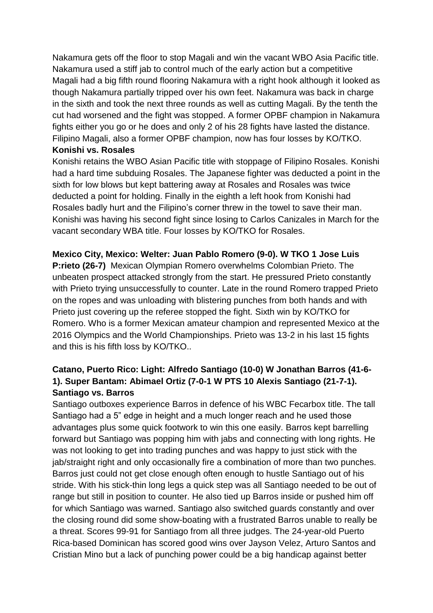Nakamura gets off the floor to stop Magali and win the vacant WBO Asia Pacific title. Nakamura used a stiff jab to control much of the early action but a competitive Magali had a big fifth round flooring Nakamura with a right hook although it looked as though Nakamura partially tripped over his own feet. Nakamura was back in charge in the sixth and took the next three rounds as well as cutting Magali. By the tenth the cut had worsened and the fight was stopped. A former OPBF champion in Nakamura fights either you go or he does and only 2 of his 28 fights have lasted the distance. Filipino Magali, also a former OPBF champion, now has four losses by KO/TKO. **Konishi vs. Rosales**

Konishi retains the WBO Asian Pacific title with stoppage of Filipino Rosales. Konishi had a hard time subduing Rosales. The Japanese fighter was deducted a point in the sixth for low blows but kept battering away at Rosales and Rosales was twice deducted a point for holding. Finally in the eighth a left hook from Konishi had Rosales badly hurt and the Filipino's corner threw in the towel to save their man. Konishi was having his second fight since losing to Carlos Canizales in March for the vacant secondary WBA title. Four losses by KO/TKO for Rosales.

**Mexico City, Mexico: Welter: Juan Pablo Romero (9-0). W TKO 1 Jose Luis** 

**P:rieto (26-7)** Mexican Olympian Romero overwhelms Colombian Prieto. The unbeaten prospect attacked strongly from the start. He pressured Prieto constantly with Prieto trying unsuccessfully to counter. Late in the round Romero trapped Prieto on the ropes and was unloading with blistering punches from both hands and with Prieto just covering up the referee stopped the fight. Sixth win by KO/TKO for Romero. Who is a former Mexican amateur champion and represented Mexico at the 2016 Olympics and the World Championships. Prieto was 13-2 in his last 15 fights and this is his fifth loss by KO/TKO..

# **Catano, Puerto Rico: Light: Alfredo Santiago (10-0) W Jonathan Barros (41-6- 1). Super Bantam: Abimael Ortiz (7-0-1 W PTS 10 Alexis Santiago (21-7-1). Santiago vs. Barros**

Santiago outboxes experience Barros in defence of his WBC Fecarbox title. The tall Santiago had a 5" edge in height and a much longer reach and he used those advantages plus some quick footwork to win this one easily. Barros kept barrelling forward but Santiago was popping him with jabs and connecting with long rights. He was not looking to get into trading punches and was happy to just stick with the jab/straight right and only occasionally fire a combination of more than two punches. Barros just could not get close enough often enough to hustle Santiago out of his stride. With his stick-thin long legs a quick step was all Santiago needed to be out of range but still in position to counter. He also tied up Barros inside or pushed him off for which Santiago was warned. Santiago also switched guards constantly and over the closing round did some show-boating with a frustrated Barros unable to really be a threat. Scores 99-91 for Santiago from all three judges. The 24-year-old Puerto Rica-based Dominican has scored good wins over Jayson Velez, Arturo Santos and Cristian Mino but a lack of punching power could be a big handicap against better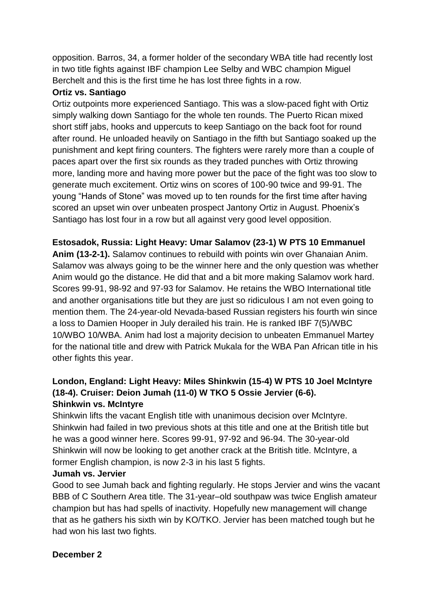opposition. Barros, 34, a former holder of the secondary WBA title had recently lost in two title fights against IBF champion Lee Selby and WBC champion Miguel Berchelt and this is the first time he has lost three fights in a row.

# **Ortiz vs. Santiago**

Ortiz outpoints more experienced Santiago. This was a slow-paced fight with Ortiz simply walking down Santiago for the whole ten rounds. The Puerto Rican mixed short stiff jabs, hooks and uppercuts to keep Santiago on the back foot for round after round. He unloaded heavily on Santiago in the fifth but Santiago soaked up the punishment and kept firing counters. The fighters were rarely more than a couple of paces apart over the first six rounds as they traded punches with Ortiz throwing more, landing more and having more power but the pace of the fight was too slow to generate much excitement. Ortiz wins on scores of 100-90 twice and 99-91. The young "Hands of Stone" was moved up to ten rounds for the first time after having scored an upset win over unbeaten prospect Jantony Ortiz in August. Phoenix's Santiago has lost four in a row but all against very good level opposition.

**Estosadok, Russia: Light Heavy: Umar Salamov (23-1) W PTS 10 Emmanuel Anim (13-2-1).** Salamov continues to rebuild with points win over Ghanaian Anim. Salamov was always going to be the winner here and the only question was whether Anim would go the distance. He did that and a bit more making Salamov work hard. Scores 99-91, 98-92 and 97-93 for Salamov. He retains the WBO International title and another organisations title but they are just so ridiculous I am not even going to mention them. The 24-year-old Nevada-based Russian registers his fourth win since a loss to Damien Hooper in July derailed his train. He is ranked IBF 7(5)/WBC 10/WBO 10/WBA. Anim had lost a majority decision to unbeaten Emmanuel Martey for the national title and drew with Patrick Mukala for the WBA Pan African title in his other fights this year.

# **London, England: Light Heavy: Miles Shinkwin (15-4) W PTS 10 Joel McIntyre (18-4). Cruiser: Deion Jumah (11-0) W TKO 5 Ossie Jervier (6-6). Shinkwin vs. McIntyre**

Shinkwin lifts the vacant English title with unanimous decision over McIntyre. Shinkwin had failed in two previous shots at this title and one at the British title but he was a good winner here. Scores 99-91, 97-92 and 96-94. The 30-year-old Shinkwin will now be looking to get another crack at the British title. McIntyre, a former English champion, is now 2-3 in his last 5 fights.

# **Jumah vs. Jervier**

Good to see Jumah back and fighting regularly. He stops Jervier and wins the vacant BBB of C Southern Area title. The 31-year–old southpaw was twice English amateur champion but has had spells of inactivity. Hopefully new management will change that as he gathers his sixth win by KO/TKO. Jervier has been matched tough but he had won his last two fights.

# **December 2**